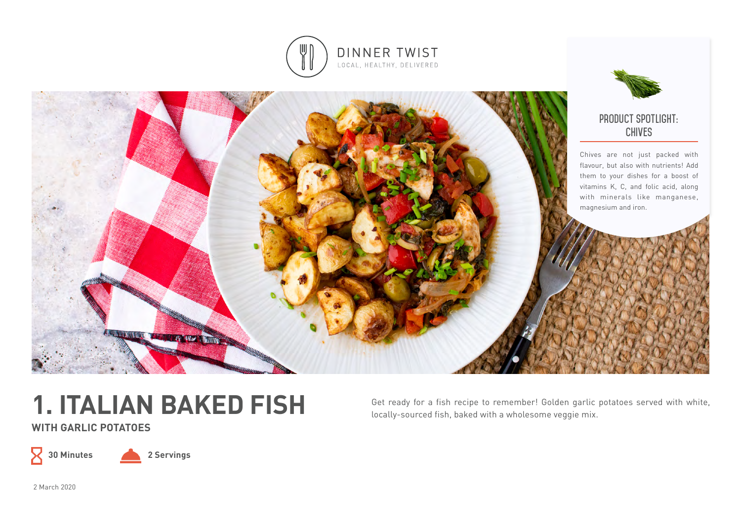



# **1. ITALIAN BAKED FISH**

**WITH GARLIC POTATOES**

 $\mathsf X$ 

**30 Minutes 2 Servings**

Get ready for a fish recipe to remember! Golden garlic potatoes served with white, locally-sourced fish, baked with a wholesome veggie mix.

2 March 2020